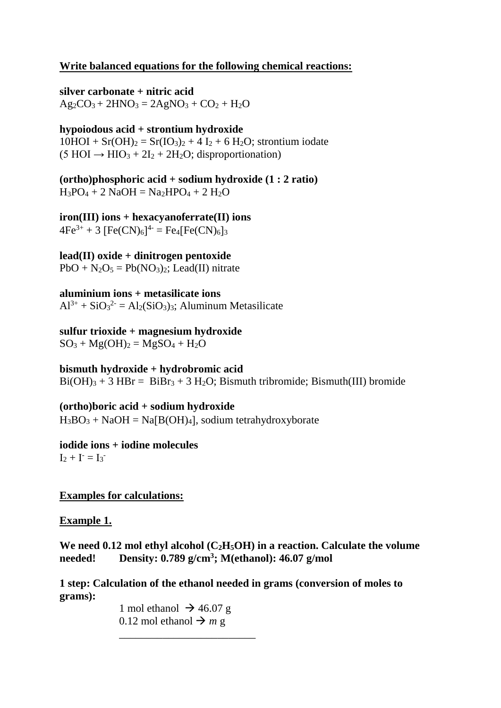# **Write balanced equations for the following chemical reactions:**

**silver carbonate + nitric acid**   $Ag_2CO_3 + 2HNO_3 = 2AgNO_3 + CO_2 + H_2O$ 

**hypoiodous acid + strontium hydroxide**  $10HOI + Sr(OH)<sub>2</sub> = Sr(IO<sub>3</sub>)<sub>2</sub> + 4 I<sub>2</sub> + 6 H<sub>2</sub>O$ ; strontium iodate  $(5 HOI \rightarrow HIO<sub>3</sub> + 2I<sub>2</sub> + 2H<sub>2</sub>O$ ; disproportionation)

**(ortho)phosphoric acid + sodium hydroxide (1 : 2 ratio)**  $H_3PO_4 + 2$  NaOH = Na<sub>2</sub>HPO<sub>4</sub> + 2 H<sub>2</sub>O

**iron(III) ions + hexacyanoferrate(II) ions**   $4Fe^{3+} + 3 [Fe(CN)<sub>6</sub>]<sup>4-</sup> = Fe4[Fe(CN)<sub>6</sub>]$ 

**lead(II) oxide + dinitrogen pentoxide**  $PbO + N<sub>2</sub>O<sub>5</sub> = Pb(NO<sub>3</sub>)<sub>2</sub>; Lead(II) nitrate$ 

**aluminium ions + metasilicate ions**  $Al^{3+} + SiO_3^{2-} = Al_2(SiO_3)_3$ ; Aluminum Metasilicate

**sulfur trioxide + magnesium hydroxide**  $SO_3 + Mg(OH)_2 = MgSO_4 + H_2O$ 

**bismuth hydroxide + hydrobromic acid**  $Bi(OH)<sub>3</sub> + 3 HBr = BiBr<sub>3</sub> + 3 H<sub>2</sub>O$ ; Bismuth tribromide; Bismuth(III) bromide

**(ortho)boric acid + sodium hydroxide**  $H_3BO_3 + NaOH = Na[B(OH)_4]$ , sodium tetrahydroxyborate

**iodide ions + iodine molecules**  $I_2 + I = I_3$ 

**Examples for calculations:**

**Example 1.**

We need  $0.12$  mol ethyl alcohol  $(C_2H_5OH)$  in a reaction. Calculate the volume **needed! Density: 0.789 g/cm<sup>3</sup> ; M(ethanol): 46.07 g/mol**

**1 step: Calculation of the ethanol needed in grams (conversion of moles to grams):**

> 1 mol ethanol  $\rightarrow$  46.07 g 0.12 mol ethanol  $\rightarrow m g$

\_\_\_\_\_\_\_\_\_\_\_\_\_\_\_\_\_\_\_\_\_\_\_\_\_